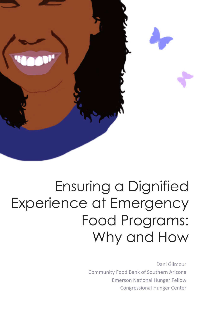

## Ensuring a Dignified Experience at Emergency Food Programs: Why and How

Dani Gilmour Community Food Bank of Southern Arizona **Emerson National Hunger Fellow** Congressional Hunger Center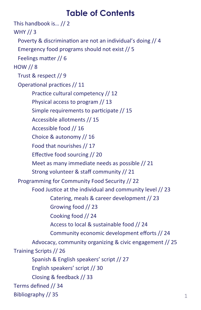## **Table of Contents**

This handbook is... // 2 WHY  $\frac{1}{3}$ Poverty & discrimination are not an individual's doing  $// 4$ Emergency food programs should not exist // 5 Feelings matter // 6  $HOW$  // 8 Trust & respect // 9 Operational practices // 11 Practice cultural competency // 12 Physical access to program // 13 Simple requirements to participate // 15 Accessible allotments // 15 Accessible food // 16 Choice & autonomy // 16 Food that nourishes // 17 Effective food sourcing  $\frac{1}{20}$ Meet as many immediate needs as possible // 21 Strong volunteer & staff community // 21 Programming for Community Food Security // 22 Food Justice at the individual and community level // 23 Catering, meals & career development // 23 Growing food // 23 Cooking food // 24 Access to local & sustainable food // 24 Community economic development efforts // 24 Advocacy, community organizing & civic engagement // 25 Training Scripts // 26 Spanish & English speakers' script // 27 English speakers' script // 30 Closing & feedback // 33 Terms defined // 34 Bibliography // 35  $1$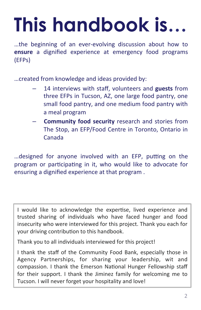# **This handbook is…**

...the beginning of an ever-evolving discussion about how to **ensure** a dignified experience at emergency food programs (EFPs) 

... created from knowledge and ideas provided by:

- 14 interviews with staff, volunteers and guests from three EFPs in Tucson, AZ, one large food pantry, one small food pantry, and one medium food pantry with a meal program
- **Community food security** research and stories from The Stop, an EFP/Food Centre in Toronto, Ontario in Canada

... designed for anyone involved with an EFP, putting on the program or participating in it, who would like to advocate for ensuring a dignified experience at that program.

I would like to acknowledge the expertise, lived experience and trusted sharing of individuals who have faced hunger and food insecurity who were interviewed for this project. Thank you each for your driving contribution to this handbook.

Thank you to all individuals interviewed for this project!

I thank the staff of the Community Food Bank, especially those in Agency Partnerships, for sharing your leadership, wit and compassion. I thank the Emerson National Hunger Fellowship staff for their support. I thank the Jiminez family for welcoming me to Tucson. I will never forget your hospitality and love!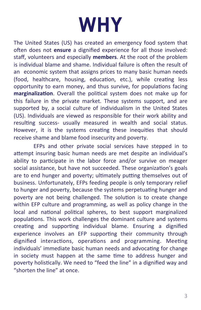## **WHY**

The United States (US) has created an emergency food system that often does not **ensure** a dignified experience for all those involved: staff, volunteers and especially **members**. At the root of the problem is individual blame and shame. Individual failure is often the result of an economic system that assigns prices to many basic human needs (food, healthcare, housing, education, etc.), while creating less opportunity to earn money, and thus survive, for populations facing marginalization. Overall the political system does not make up for this failure in the private market. These systems support, and are supported by, a social culture of individualism in the United States (US). Individuals are viewed as responsible for their work ability and resulting success- usually measured in wealth and social status. However, it is the systems creating these inequities that should receive shame and blame food insecurity and poverty.

EFPs and other private social services have stepped in to attempt insuring basic human needs are met despite an individual's ability to participate in the labor force and/or survive on meager social assistance, but have not succeeded. These organization's goals are to end hunger and poverty; ultimately putting themselves out of business. Unfortunately, EFPs feeding people is only temporary relief to hunger and poverty, because the systems perpetuating hunger and poverty are not being challenged. The solution is to create change within EFP culture and programming, as well as policy change in the local and national political spheres, to best support marginalized populations. This work challenges the dominant culture and systems creating and supporting individual blame. Ensuring a dignified experience involves an EFP supporting their community through dignified interactions, operations and programming. Meeting individuals' immediate basic human needs and advocating for change in society must happen at the same time to address hunger and poverty holistically. We need to "feed the line" in a dignified way and "shorten the line" at once.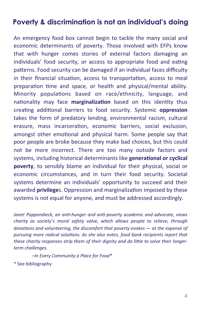#### **Poverty & discrimination is not an individual's doing**

An emergency food box cannot begin to tackle the many social and economic determinants of poverty. Those involved with EFPs know that with hunger comes stories of external factors damaging an individuals' food security, or access to appropriate food and eating patterns. Food security can be damaged if an individual faces difficulty in their financial situation, access to transportation, access to meal preparation time and space, or health and physical/mental ability. Minority populations based on race/ethnicity, language, and nationality may face **marginalization** based on this identity thus creating additional barriers to food security. Systemic **oppression** takes the form of predatory lending, environmental racism, cultural erasure, mass incarceration, economic barriers, social exclusion, amongst other emotional and physical harm. Some people say that poor people are broke because they make bad choices, but this could not be more incorrect. There are too many outside factors and systems, including historical determinants like **generational or cyclical poverty**, to sensibly blame an individual for their physical, social or economic circumstances, and in turn their food security. Societal systems determine an individuals' opportunity to succeed and their awarded **privilege**s. Oppression and marginalization imposed by these systems is not equal for anyone, and must be addressed accordingly.

*Janet Poppendieck, an anti-hunger and anti-poverty academic and advocate, views charity* as society's moral safety valve, which allows people to relieve, through *donations* and volunteering, the discomfort that poverty evokes — at the expense of pursuing more radical solutions. As she also notes, food bank recipients report that *these charity responses strip them of their dignity and do little to solve their longerterm challenges.* 

*–In Every Community a Place for Food\** 

\* See bibliography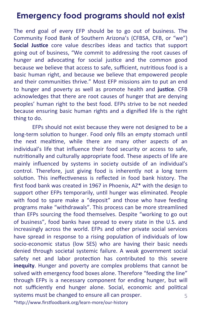### **Emergency food programs should not exist**

The end goal of every EFP should be to go out of business. The Community Food Bank of Southern Arizona's (CFBSA, CFB, or "we") **Social Justice** core value describes ideas and tactics that support going out of business, "We commit to addressing the root causes of hunger and advocating for social justice and the common good because we believe that access to safe, sufficient, nutritious food is a basic human right, and because we believe that empowered people and their communities thrive." Most EFP missions aim to put an end to hunger and poverty as well as promote health and justice. CFB acknowledges that there are root causes of hunger that are denying peoples' human right to the best food. EFPs strive to be not needed because ensuring basic human rights and a dignified life is the right thing to do.

EFPs should not exist because they were not designed to be a long-term solution to hunger. Food only fills an empty stomach until the next mealtime, while there are many other aspects of an individual's life that influence their food security or access to safe, nutritionally and culturally appropriate food. These aspects of life are mainly influenced by systems in society outside of an individual's control. Therefore, just giving food is inherently not a long term solution. This ineffectiveness is reflected in food bank history. The first food bank was created in 1967 in Phoenix,  $AZ^*$  with the design to support other EFPs temporarily, until hunger was eliminated. People with food to spare make a "deposit" and those who have feeding programs make "withdrawals". This process can be more streamlined than EFPs sourcing the food themselves. Despite "working to go out of business", food banks have spread to every state in the U.S. and increasingly across the world. EFPs and other private social services have spread in response to a rising population of individuals of low socio-economic status (low SES) who are having their basic needs denied through societal systemic failure. A weak government social safety net and labor protection has contributed to this severe **inequity**. Hunger and poverty are complex problems that cannot be solved with emergency food boxes alone. Therefore "feeding the line" through EFPs is a necessary component for ending hunger, but will not sufficiently end hunger alone. Social, economic and political systems must be changed to ensure all can prosper. 5 

\*http://www.firstfoodbank.org/learn-more/our-history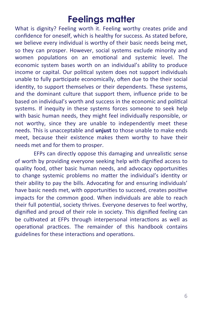## **Feelings matter**

What is dignity? Feeling worth it. Feeling worthy creates pride and confidence for oneself, which is healthy for success. As stated before, we believe every individual is worthy of their basic needs being met, so they can prosper. However, social systems exclude minority and women populations on an emotional and systemic level. The economic system bases worth on an individual's ability to produce income or capital. Our political system does not support individuals unable to fully participate economically, often due to the their social identity, to support themselves or their dependents. These systems, and the dominant culture that support them, influence pride to be based on individual's worth and success in the economic and political systems. If inequity in these systems forces someone to seek help with basic human needs, they might feel individually responsible, or not worthy, since they are unable to independently meet these needs. This is unacceptable and **unjust** to those unable to make ends meet, because their existence makes them worthy to have their needs met and for them to prosper.

EFPs can directly oppose this damaging and unrealistic sense of worth by providing everyone seeking help with dignified access to quality food, other basic human needs, and advocacy opportunities to change systemic problems no matter the individual's identity or their ability to pay the bills. Advocating for and ensuring individuals' have basic needs met, with opportunities to succeed, creates positive impacts for the common good. When individuals are able to reach their full potential, society thrives. Everyone deserves to feel worthy, dignified and proud of their role in society. This dignified feeling can be cultivated at EFPs through interpersonal interactions as well as operational practices. The remainder of this handbook contains guidelines for these interactions and operations.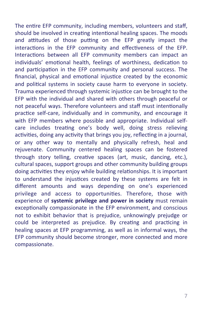The entire EFP community, including members, volunteers and staff, should be involved in creating intentional healing spaces. The moods and attitudes of those putting on the EFP greatly impact the interactions in the EFP community and effectiveness of the EFP. Interactions between all EFP community members can impact an individuals' emotional health, feelings of worthiness, dedication to and participation in the EFP community and personal success. The financial, physical and emotional injustice created by the economic and political systems in society cause harm to everyone in society. Trauma experienced through systemic injustice can be brought to the EFP with the individual and shared with others through peaceful or not peaceful ways. Therefore volunteers and staff must intentionally practice self-care, individually and in community, and encourage it with EFP members where possible and appropriate. Individual selfcare includes treating one's body well, doing stress relieving activities, doing any activity that brings you joy, reflecting in a journal, or any other way to mentally and physically refresh, heal and rejuvenate. Community centered healing spaces can be fostered through story telling, creative spaces (art, music, dancing, etc.), cultural spaces, support groups and other community building groups doing activities they enjoy while building relationships. It is important to understand the injustices created by these systems are felt in different amounts and ways depending on one's experienced privilege and access to opportunities. Therefore, those with experience of **systemic privilege and power in society** must remain exceptionally compassionate in the EFP environment, and conscious not to exhibit behavior that is prejudice, unknowingly prejudge or could be interpreted as prejudice. By creating and practicing in healing spaces at EFP programming, as well as in informal ways, the EFP community should become stronger, more connected and more compassionate.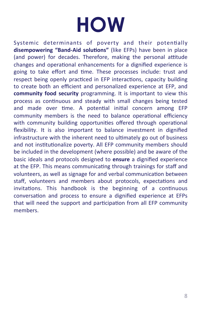## **HOW**

Systemic determinants of poverty and their potentially **disempowering "Band-Aid solutions"** (like EFPs) have been in place (and power) for decades. Therefore, making the personal attitude changes and operational enhancements for a dignified experience is going to take effort and time. These processes include: trust and respect being openly practiced in EFP interactions, capacity building to create both an efficient and personalized experience at EFP, and **community food security** programming. It is important to view this process as continuous and steady with small changes being tested and made over time. A potential initial concern among EFP community members is the need to balance operational efficiency with community building opportunities offered through operational flexibility. It is also important to balance investment in dignified infrastructure with the inherent need to ultimately go out of business and not institutionalize poverty. All EFP community members should be included in the development (where possible) and be aware of the basic ideals and protocols designed to **ensure** a dignified experience at the EFP. This means communicating through trainings for staff and volunteers, as well as signage for and verbal communication between staff, volunteers and members about protocols, expectations and invitations. This handbook is the beginning of a continuous conversation and process to ensure a dignified experience at EFPs that will need the support and participation from all EFP community members.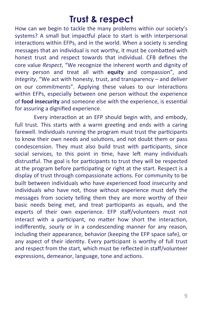## **Trust & respect**

How can we begin to tackle the many problems within our society's systems? A small but impactful place to start is with interpersonal interactions within EFPs, and in the world. When a society is sending messages that an individual is not worthy, it must be combatted with honest trust and respect towards that individual. CFB defines the core value *Respect*, "We recognize the inherent worth and dignity of every person and treat all with **equity** and compassion", and *Integrity*, "We act with honesty, trust, and transparency – and deliver on our commitments". Applying these values to our interactions within EFPs, especially between one person without the experience of **food insecurity** and someone else with the experience, is essential for assuring a dignified experience.

Every interaction at an EFP should begin with, and embody, full trust. This starts with a warm greeting and ends with a caring farewell. Individuals running the program must trust the participants to know their own needs and solutions, and not doubt them or pass condescension. They must also build trust with participants, since social services, to this point in time, have left many individuals distrustful. The goal is for participants to trust they will be respected at the program before participating or right at the start. Respect is a display of trust through compassionate actions. For community to be built between individuals who have experienced food insecurity and individuals who have not, those without experience must defy the messages from society telling them they are more worthy of their basic needs being met, and treat participants as equals, and the experts of their own experience. EFP staff/volunteers must not interact with a participant, no matter how short the interaction, indifferently, sourly or in a condescending manner for any reason, including their appearance, behavior (keeping the EFP space safe), or any aspect of their identity. Every participant is worthy of full trust and respect from the start, which must be reflected in staff/volunteer expressions, demeanor, language, tone and actions.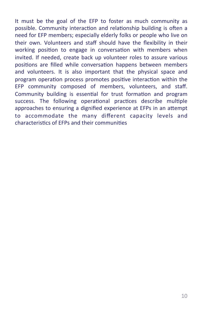It must be the goal of the EFP to foster as much community as possible. Community interaction and relationship building is often a need for EFP members; especially elderly folks or people who live on their own. Volunteers and staff should have the flexibility in their working position to engage in conversation with members when invited. If needed, create back up volunteer roles to assure various positions are filled while conversation happens between members and volunteers. It is also important that the physical space and program operation process promotes positive interaction within the EFP community composed of members, volunteers, and staff. Community building is essential for trust formation and program success. The following operational practices describe multiple approaches to ensuring a dignified experience at EFPs in an attempt to accommodate the many different capacity levels and characteristics of EFPs and their communities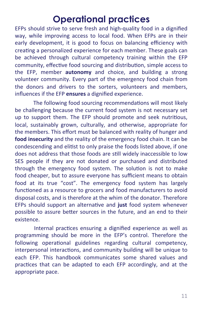## **Operational practices**

EFPs should strive to serve fresh and high-quality food in a dignified way, while improving access to local food. When EFPs are in their early development, it is good to focus on balancing efficiency with creating a personalized experience for each member. These goals can be achieved through cultural competency training within the EFP community, effective food sourcing and distribution, simple access to the EFP, member **autonomy** and choice, and building a strong volunteer community. Every part of the emergency food chain from the donors and drivers to the sorters, volunteers and members, influences if the EFP **ensures** a dignified experience.

The following food sourcing recommendations will most likely be challenging because the current food system is not necessary set up to support them. The EFP should promote and seek nutritious, local, sustainably grown, culturally, and otherwise, appropriate for the members. This effort must be balanced with reality of hunger and **food insecurity** and the reality of the emergency food chain. It can be condescending and elitist to only praise the foods listed above, if one does not address that those foods are still widely inaccessible to low SES people if they are not donated or purchased and distributed through the emergency food system. The solution is not to make food cheaper, but to assure everyone has sufficient means to obtain food at its true "cost". The emergency food system has largely functioned as a resource to grocers and food manufacturers to avoid disposal costs, and is therefore at the whim of the donator. Therefore EFPs should support an alternative and just food system whenever possible to assure better sources in the future, and an end to their existence. 

Internal practices ensuring a dignified experience as well as programming should be more in the EFP's control. Therefore the following operational guidelines regarding cultural competency, interpersonal interactions, and community building will be unique to each EFP. This handbook communicates some shared values and practices that can be adapted to each EFP accordingly, and at the appropriate pace.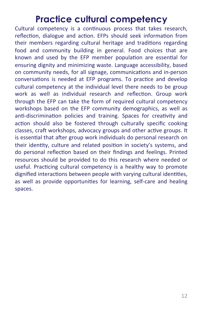## **Practice cultural competency**

Cultural competency is a continuous process that takes research, reflection, dialogue and action. EFPs should seek information from their members regarding cultural heritage and traditions regarding food and community building in general. Food choices that are known and used by the EFP member population are essential for ensuring dignity and minimizing waste. Language accessibility, based on community needs, for all signage, communications and in-person conversations is needed at EFP programs. To practice and develop cultural competency at the individual level there needs to be group work as well as individual research and reflection. Group work through the EFP can take the form of required cultural competency workshops based on the EFP community demographics, as well as anti-discrimination policies and training. Spaces for creativity and action should also be fostered through culturally specific cooking classes, craft workshops, advocacy groups and other active groups. It is essential that after group work individuals do personal research on their identity, culture and related position in society's systems, and do personal reflection based on their findings and feelings. Printed resources should be provided to do this research where needed or useful. Practicing cultural competency is a healthy way to promote dignified interactions between people with varying cultural identities, as well as provide opportunities for learning, self-care and healing spaces.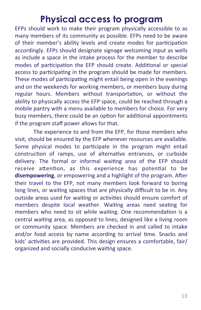## **Physical access to program**

EFPs should work to make their program physically accessible to as many members of its community as possible. EFPs need to be aware of their member's ability levels and create modes for participation accordingly. EFPs should designate signage welcoming input as wells as include a space in the intake process for the member to describe modes of participation the EFP should create. Additional or special access to participating in the program should be made for members. These modes of participating might entail being open in the evenings and on the weekends for working members, or members busy during regular hours. Members without transportation, or without the ability to physically access the EFP space, could be reached through a mobile pantry with a menu available to members for choice. For very busy members, there could be an option for additional appointments if the program staff power allows for that.

The experience to and from the EFP, for those members who visit, should be ensured by the EFP whenever resources are available. Some physical modes to participate in the program might entail construction of ramps, use of alternative entrances, or curbside delivery. The formal or informal waiting area of the EFP should receive attention, as this experience has potential to be disempowering, or empowering and a highlight of the program. After their travel to the EFP, not many members look forward to boring long lines, or waiting spaces that are physically difficult to be in. Any outside areas used for waiting or activities should ensure comfort of members despite local weather. Waiting areas need seating for members who need to sit while waiting. One recommendation is a central waiting area, as opposed to lines, designed like a living room or community space. Members are checked in and called to intake and/or food access by name according to arrival time. Snacks and kids' activities are provided. This design ensures a comfortable, fair/ organized and socially conducive waiting space.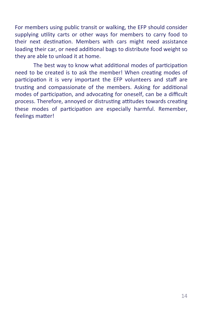For members using public transit or walking, the EFP should consider supplying utility carts or other ways for members to carry food to their next destination. Members with cars might need assistance loading their car, or need additional bags to distribute food weight so they are able to unload it at home.

The best way to know what additional modes of participation need to be created is to ask the member! When creating modes of participation it is very important the EFP volunteers and staff are trusting and compassionate of the members. Asking for additional modes of participation, and advocating for oneself, can be a difficult process. Therefore, annoyed or distrusting attitudes towards creating these modes of participation are especially harmful. Remember, feelings matter!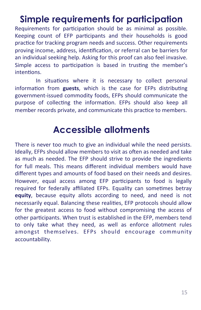## **Simple requirements for participation**

Requirements for participation should be as minimal as possible. Keeping count of EFP participants and their households is good practice for tracking program needs and success. Other requirements proving income, address, identification, or referral can be barriers for an individual seeking help. Asking for this proof can also feel invasive. Simple access to participation is based in trusting the member's intentions.

In situations where it is necessary to collect personal information from guests, which is the case for EFPs distributing government-issued commodity foods, EFPs should communicate the purpose of collecting the information. EFPs should also keep all member records private, and communicate this practice to members.

## **Accessible allotments**

There is never too much to give an individual while the need persists. Ideally, EFPs should allow members to visit as often as needed and take as much as needed. The EFP should strive to provide the ingredients for full meals. This means different individual members would have different types and amounts of food based on their needs and desires. However, equal access among EFP participants to food is legally required for federally affiliated EFPs. Equality can sometimes betray **equity**, because equity allots according to need, and need is not necessarily equal. Balancing these realities, EFP protocols should allow for the greatest access to food without compromising the access of other participants. When trust is established in the EFP, members tend to only take what they need, as well as enforce allotment rules amongst themselves. EFPs should encourage community accountability.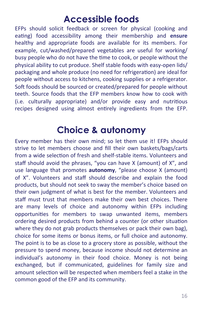## **Accessible foods**

EFPs should solicit feedback or screen for physical (cooking and eating) food accessibility among their membership and **ensure** healthy and appropriate foods are available for its members. For example, cut/washed/prepared vegetables are useful for working/ busy people who do not have the time to cook, or people without the physical ability to cut produce. Shelf stable foods with easy-open lids/ packaging and whole produce (no need for refrigeration) are ideal for people without access to kitchens, cooking supplies or a refrigerator. Soft foods should be sourced or created/prepared for people without teeth. Source foods that the EFP members know how to cook with (i.e. culturally appropriate) and/or provide easy and nutritious recipes designed using almost entirely ingredients from the EFP.

## **Choice & autonomy**

Every member has their own mind; so let them use it! EFPs should strive to let members choose and fill their own baskets/bags/carts from a wide selection of fresh and shelf-stable items. Volunteers and staff should avoid the phrases, "you can have  $X$  (amount) of  $X$ ", and use language that promotes **autonomy**, "please choose X (amount) of X". Volunteers and staff should describe and explain the food products, but should not seek to sway the member's choice based on their own judgment of what is best for the member. Volunteers and staff must trust that members make their own best choices. There are many levels of choice and autonomy within EFPs including opportunities for members to swap unwanted items, members ordering desired products from behind a counter (or other situation where they do not grab products themselves or pack their own bag), choice for some items or bonus items, or full choice and autonomy. The point is to be as close to a grocery store as possible, without the pressure to spend money, because income should not determine an individual's autonomy in their food choice. Money is not being exchanged, but if communicated, guidelines for family size and amount selection will be respected when members feel a stake in the common good of the EFP and its community.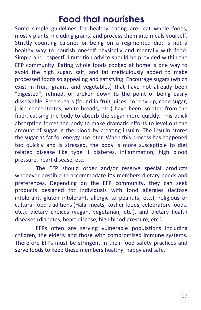## **Food that nourishes**

Some simple guidelines for healthy eating are: eat whole foods, mostly plants, including grains, and process them into meals yourself. Strictly counting calories or being on a regimented diet is not a healthy way to nourish oneself physically and mentally with food. Simple and respectful nutrition advice should be provided within the EFP community. Eating whole foods cooked at home is one way to avoid the high sugar, salt, and fat meticulously added to make processed foods so appealing and satisfying. Encourage sugars (which exist in fruit, grains, and vegetables) that have not already been "digested", refined, or broken down to the point of being easily dissolvable. Free sugars (found in fruit juices, corn syrup, cane sugar, juice concentrates, white breads, etc.) have been isolated from the fiber, causing the body to absorb the sugar more quickly. This quick absorption forces the body to make dramatic efforts to level out the amount of sugar in the blood by creating insulin. The insulin stores the sugar as fat for energy use later. When this process has happened too quickly and is stressed, the body is more susceptible to diet related disease like type II diabetes, inflammation, high blood pressure, heart disease, etc.

The EFP should order and/or reserve special products whenever possible to accommodate it's members dietary needs and preferences. Depending on the EFP community, they can seek products designed for individuals with food allergies (lactose intolerant, gluten intolerant, allergic to peanuts, etc.), religious or cultural food traditions (Halal meats, kosher foods, celebratory foods, etc.), dietary choices (vegan, vegetarian, etc.), and dietary health diseases (diabetes, heart disease, high blood pressure, etc.).

EFPs often are serving vulnerable populations including children, the elderly and those with compromised immune systems. Therefore EFPs must be stringent in their food safety practices and serve foods to keep these members healthy, happy and safe.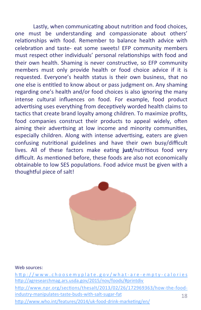Lastly, when communicating about nutrition and food choices, one must be understanding and compassionate about others' relationships with food. Remember to balance health advice with celebration and taste- eat some sweets! EFP community members must respect other individuals' personal relationships with food and their own health. Shaming is never constructive, so EFP community members must only provide health or food choice advice if it is requested. Everyone's health status is their own business, that no one else is entitled to know about or pass judgment on. Any shaming regarding one's health and/or food choices is also ignoring the many intense cultural influences on food. For example, food product advertising uses everything from deceptively worded health claims to tactics that create brand loyalty among children. To maximize profits, food companies construct their products to appeal widely, often aiming their advertising at low income and minority communities, especially children. Along with intense advertising, eaters are given confusing nutritional guidelines and have their own busy/difficult lives. All of these factors make eating **just**/nutritious food very difficult. As mentioned before, these foods are also not economically obtainable to low SES populations. Food advice must be given with a thoughtful piece of salt!



#### Web sources:

http://www.choosemyplate.gov/what-are-empty-calories http://agresearchmag.ars.usda.gov/2015/nov/foods/#printdiv http://www.npr.org/sections/thesalt/2013/02/26/172969363/how-the-foodindustry-manipulates-taste-buds-with-salt-sugar-fat http://www.who.int/features/2014/uk-food-drink-marketing/en/ 18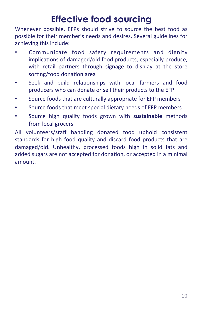## **Effective food sourcing**

Whenever possible, EFPs should strive to source the best food as possible for their member's needs and desires. Several guidelines for achieving this include:

- Communicate food safety requirements and dignity implications of damaged/old food products, especially produce, with retail partners through signage to display at the store sorting/food donation area
- Seek and build relationships with local farmers and food producers who can donate or sell their products to the EFP
- Source foods that are culturally appropriate for EFP members
- Source foods that meet special dietary needs of EFP members
- Source high quality foods grown with **sustainable** methods from local grocers

All volunteers/staff handling donated food uphold consistent standards for high food quality and discard food products that are damaged/old. Unhealthy, processed foods high in solid fats and added sugars are not accepted for donation, or accepted in a minimal amount.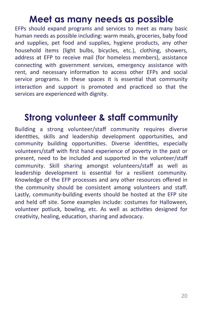## **Meet as many needs as possible**

EFPs should expand programs and services to meet as many basic human needs as possible including: warm meals, groceries, baby food and supplies, pet food and supplies, hygiene products, any other household items (light bulbs, bicycles, etc.), clothing, showers, address at EFP to receive mail (for homeless members), assistance connecting with government services, emergency assistance with rent, and necessary information to access other EFPs and social service programs. In these spaces it is essential that community interaction and support is promoted and practiced so that the services are experienced with dignity.

## **Strong volunteer & staff community**

Building a strong volunteer/staff community requires diverse identities, skills and leadership development opportunities, and community building opportunities. Diverse identities, especially volunteers/staff with first hand experience of poverty in the past or present, need to be included and supported in the volunteer/staff community. Skill sharing amongst volunteers/staff as well as leadership development is essential for a resilient community. Knowledge of the EFP processes and any other resources offered in the community should be consistent among volunteers and staff. Lastly, community-building events should be hosted at the EFP site and held off site. Some examples include: costumes for Halloween, volunteer potluck, bowling, etc. As well as activities designed for creativity, healing, education, sharing and advocacy.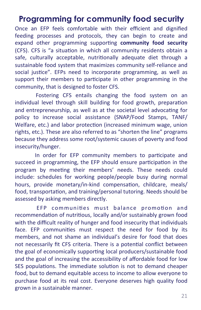### **Programming for community food security**

Once an EFP feels comfortable with their efficient and dignified feeding processes and protocols, they can begin to create and expand other programming supporting community food security (CFS). CFS is "a situation in which all community residents obtain a safe, culturally acceptable, nutritionally adequate diet through a sustainable food system that maximizes community self-reliance and social justice". EFPs need to incorporate programming, as well as support their members to participate in other programming in the community, that is designed to foster CFS.

Fostering CFS entails changing the food system on an individual level through skill building for food growth, preparation and entrepreneurship, as well as at the societal level advocating for policy to increase social assistance (SNAP/Food Stamps, TANF/ Welfare, etc.) and labor protection (increased minimum wage, union rights, etc.). These are also referred to as "shorten the line" programs because they address some root/systemic causes of poverty and food insecurity/hunger. 

In order for EFP community members to participate and succeed in programming, the EFP should ensure participation in the program by meeting their members' needs. These needs could include: schedules for working people/people busy during normal hours, provide monetary/in-kind compensation, childcare, meals/ food, transportation, and training/personal tutoring. Needs should be assessed by asking members directly.

EFP communities must balance promotion and recommendation of nutritious, locally and/or sustainably grown food with the difficult reality of hunger and food insecurity that individuals face. EFP communities must respect the need for food by its members, and not shame an individual's desire for food that does not necessarily fit CFS criteria. There is a potential conflict between the goal of economically supporting local producers/sustainable food and the goal of increasing the accessibility of affordable food for low SES populations. The immediate solution is not to demand cheaper food, but to demand equitable access to income to allow everyone to purchase food at its real cost. Everyone deserves high quality food grown in a sustainable manner.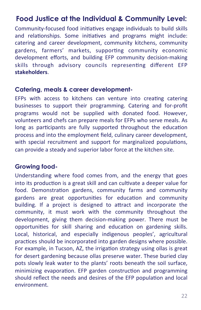#### **Food Justice at the Individual & Community Level:**

Community-focused food initiatives engage individuals to build skills and relationships. Some initiatives and programs might include: catering and career development, community kitchens, community gardens, farmers' markets, supporting community economic development efforts, and building EFP community decision-making skills through advisory councils representing different EFP **stakeholders**. 

#### **Catering, meals & career development-**

EFPs with access to kitchens can venture into creating catering businesses to support their programming. Catering and for-profit programs would not be supplied with donated food. However, volunteers and chefs can prepare meals for EFPs who serve meals. As long as participants are fully supported throughout the education process and into the employment field, culinary career development, with special recruitment and support for marginalized populations, can provide a steady and superior labor force at the kitchen site.

#### **Growing food-**

Understanding where food comes from, and the energy that goes into its production is a great skill and can cultivate a deeper value for food. Demonstration gardens, community farms and community gardens are great opportunities for education and community building. If a project is designed to attract and incorporate the community, it must work with the community throughout the development, giving them decision-making power. There must be opportunities for skill sharing and education on gardening skills. Local, historical, and especially indigenous peoples', agricultural practices should be incorporated into garden designs where possible. For example, in Tucson, AZ, the irrigation strategy using ollas is great for desert gardening because ollas preserve water. These buried clay pots slowly leak water to the plants' roots beneath the soil surface, minimizing evaporation. EFP garden construction and programming should reflect the needs and desires of the EFP population and local environment.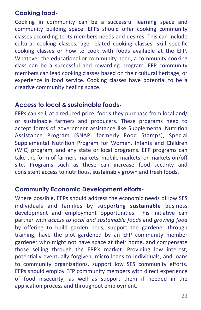#### **Cooking food-**

Cooking in community can be a successful learning space and community building space. EFPs should offer cooking community classes according to its members needs and desires. This can include cultural cooking classes, age related cooking classes, skill specific cooking classes or how to cook with foods available at the EFP. Whatever the educational or community need, a community cooking class can be a successful and rewarding program. EFP community members can lead cooking classes based on their cultural heritage, or experience in food service. Cooking classes have potential to be a creative community healing space.

#### **Access to local & sustainable foods-**

EFPs can sell, at a reduced price, foods they purchase from local and/ or sustainable farmers and producers. These programs need to accept forms of government assistance like Supplemental Nutrition Assistance Program (SNAP, formerly Food Stamps), Special Supplemental Nutrition Program for Women, Infants and Children (WIC) program, and any state or local programs. EFP programs can take the form of farmers markets, mobile markets, or markets on/off site. Programs such as these can increase food security and consistent access to nutritious, sustainably grown and fresh foods.

#### **Community Economic Development efforts-**

Where possible, EFPs should address the economic needs of low SES individuals and families by supporting **sustainable** business development and employment opportunities. This initiative can partner with *access to local and sustainable foods* and *growing food* by offering to build garden beds, support the gardener through training, have the plot gardened by an EFP community member gardener who might not have space at their home, and compensate those selling through the EPF's market. Providing low interest, potentially eventually forgiven, micro loans to individuals, and loans to community organizations, support low SES community efforts. EFPs should employ EFP community members with direct experience of food insecurity, as well as support them if needed in the application process and throughout employment.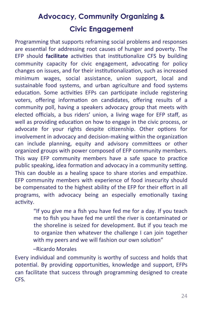## **Advocacy, Community Organizing & Civic Engagement**

Programming that supports reframing social problems and responses are essential for addressing root causes of hunger and poverty. The EFP should **facilitate** activities that institutionalize CFS by building community capacity for civic engagement, advocating for policy changes on issues, and for their institutionalization, such as increased minimum wages, social assistance, union support, local and sustainable food systems, and urban agriculture and food systems education. Some activities EFPs can participate include registering voters, offering information on candidates, offering results of a community poll, having a speakers advocacy group that meets with elected officials, a bus riders' union, a living wage for EFP staff, as well as providing education on how to engage in the civic process, or advocate for your rights despite citizenship. Other options for involvement in advocacy and decision-making within the organization can include planning, equity and advisory committees or other organized groups with power composed of EFP community members. This way EFP community members have a safe space to practice public speaking, idea formation and advocacy in a community setting. This can double as a healing space to share stories and empathize. EFP community members with experience of food insecurity should be compensated to the highest ability of the EFP for their effort in all programs, with advocacy being an especially emotionally taxing activity.

> "If you give me a fish you have fed me for a day. If you teach me to fish you have fed me until the river is contaminated or the shoreline is seized for development. But if you teach me to organize then whatever the challenge I can join together with my peers and we will fashion our own solution"

–Ricardo Morales 

Every individual and community is worthy of success and holds that potential. By providing opportunities, knowledge and support, EFPs can facilitate that success through programming designed to create CFS.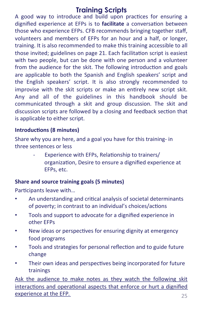#### **Training Scripts**

A good way to introduce and build upon practices for ensuring a dignified experience at EFPs is to **facilitate** a conversation between those who experience EFPs. CFB recommends bringing together staff, volunteers and members of EFPs for an hour and a half, or longer, training. It is also recommended to make this training accessible to all those invited; guidelines on page 21. Each facilitation script is easiest with two people, but can be done with one person and a volunteer from the audience for the skit. The following introduction and goals are applicable to both the Spanish and English speakers' script and the English speakers' script. It is also strongly recommended to improvise with the skit scripts or make an entirely new script skit. Any and all of the guidelines in this handbook should be communicated through a skit and group discussion. The skit and discussion scripts are followed by a closing and feedback section that is applicable to either script.

#### **Introductions (8 minutes)**

Share why you are here, and a goal you have for this training- in three sentences or less

> Experience with EFPs, Relationship to trainers/ organization, Desire to ensure a dignified experience at EFPs, etc.

#### **Share and source training goals (5 minutes)**

Participants leave with...

- An understanding and critical analysis of societal determinants of poverty; in contrast to an individual's choices/actions
- Tools and support to advocate for a dignified experience in other EFPs
- New ideas or perspectives for ensuring dignity at emergency food programs
- Tools and strategies for personal reflection and to guide future change
- Their own ideas and perspectives being incorporated for future trainings

Ask the audience to make notes as they watch the following skit interactions and operational aspects that enforce or hurt a dignified experience at the EFP. *25*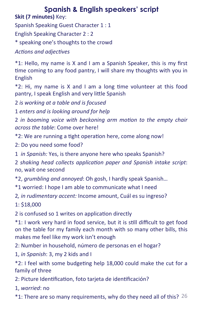### **Spanish & English speakers' script**

**Skit (7 minutes)** Key:

Spanish Speaking Guest Character 1 : 1

English Speaking Character 2 : 2

\* speaking one's thoughts to the crowd 

Actions and adjectives

\*1: Hello, my name is X and I am a Spanish Speaker, this is my first time coming to any food pantry, I will share my thoughts with you in English 

 $*2$ : Hi, my name is X and I am a long time volunteer at this food pantry, I speak English and very little Spanish

2 *is* working at a table and is focused

1 enters and is looking around for help

2 in booming voice with beckoning arm motion to the empty chair *across the table:* Come over here!

\*2: We are running a tight operation here, come along now!

2: Do you need some food?

1 *in Spanish:* Yes, is there anyone here who speaks Spanish?

2 shaking head collects application paper and Spanish intake script: no, wait one second

\*2, *grumbling and annoyed*: Oh gosh, I hardly speak Spanish… 

\*1 worried: I hope I am able to communicate what I need 

2, *in rudimentary accent:* Income amount, Cuál es su ingreso?

1: \$18,000 

2 is confused so 1 writes on application directly

\*1: I work very hard in food service, but it is still difficult to get food on the table for my family each month with so many other bills, this makes me feel like my work isn't enough

2: Number in household, número de personas en el hogar?

1, *in Spanish*: 3, my 2 kids and I

 $*2$ : I feel with some budgeting help 18,000 could make the cut for a family of three

2: Picture Identification, foto tarjeta de identificación?

1, *worried*: no 

\*1: There are so many requirements, why do they need all of this?  $26$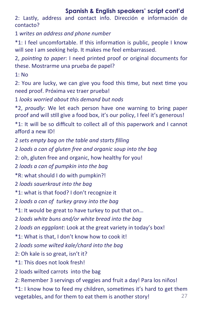#### **Spanish & English speakers' script cont'd**

2: Lastly, address and contact info. Dirección e información de contacto? 

1 *writes an address and phone number*

\*1: I feel uncomfortable. If this information is public, people I know will see I am seeking help. It makes me feel embarrassed.

2, *pointing to paper*: I need printed proof or original documents for these. Mostrarme una prueba de papel?

 $1:$  No.

2: You are lucky, we can give you food this time, but next time you need proof. Próxima vez traer prueba! 

1 looks worried about this demand but nods

\*2, *proudly*: We let each person have one warning to bring paper proof and will still give a food box, it's our policy, I feel it's generous!

\*1: It will be so difficult to collect all of this paperwork and I cannot afford a new ID!

2 *sets empty bag on the table and starts filling* 

2 *loads a can of gluten free and organic soup into the bag* 

2: oh, gluten free and organic, how healthy for you!

2 *loads a can of pumpkin into the bag* 

\*R: what should I do with pumpkin?! 

2 *loads sauerkraut into the bag* 

\*1: what is that food? I don't recognize it

2 *loads a can of turkey gravy into the bag* 

\*1: It would be great to have turkey to put that on...

2 *loads* white buns and/or white bread into the bag

2 *loads an eggplant*: Look at the great variety in today's box!

\*1: What is that, I don't know how to cook it!

2 *loads some wilted kale/chard into the bag* 

2: Oh kale is so great, isn't it?

\*1: This does not look fresh!

2 loads wilted carrots into the bag

2: Remember 3 servings of veggies and fruit a day! Para los niños!

\*1: I know how to feed my children, sometimes it's hard to get them vegetables, and for them to eat them is another story! 27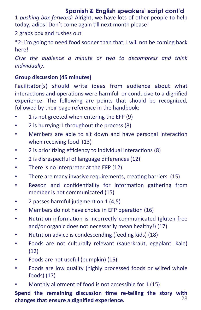#### **Spanish & English speakers' script cont'd**

1 *pushing box forward:* Alright, we have lots of other people to help today, adios! Don't come again till next month please!

2 grabs box and rushes out

\*2: I'm going to need food sooner than that, I will not be coming back here! 

Give the audience a minute or two to decompress and think *individually.*

#### Group discussion (45 minutes)

Facilitator(s) should write ideas from audience about what interactions and operations were harmful or conducive to a dignified experience. The following are points that should be recognized, followed by their page reference in the handbook:

- 1 is not greeted when entering the EFP (9)
- 2 is hurrying 1 throughout the process (8)
- Members are able to sit down and have personal interaction when receiving food  $(13)$
- 2 is prioritizing efficiency to individual interactions (8)
- $\cdot$  2 is disrespectful of language differences (12)
- There is no interpreter at the EFP (12)
- There are many invasive requirements, creating barriers (15)
- Reason and confidentiality for information gathering from member is not communicated (15)
- 2 passes harmful judgment on 1 (4,5)
- Members do not have choice in EFP operation (16)
- Nutrition information is incorrectly communicated (gluten free and/or organic does not necessarily mean healthy!) (17)
- Nutrition advice is condescending (feeding kids) (18)
- Foods are not culturally relevant (sauerkraut, eggplant, kale) (12)
- Foods are not useful (pumpkin) (15)
- Foods are low quality (highly processed foods or wilted whole  $foods)$  (17)
- Monthly allotment of food is not accessible for 1 (15)

**Spend the remaining discussion time re-telling the story with<br>changes that ansure a dignified overgripped** changes that ensure a dignified experience.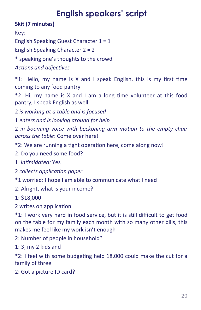## **English speakers' script**

**Skit (7 minutes)**

Key: 

English Speaking Guest Character  $1 = 1$ 

English Speaking Character  $2 = 2$ 

\* speaking one's thoughts to the crowd 

Actions and adjectives

\*1: Hello, my name is X and I speak English, this is my first time coming to any food pantry

 $*2$ : Hi, my name is X and I am a long time volunteer at this food pantry, I speak English as well

2 *is working at a table and is focused* 

1 enters and is looking around for help

2 in booming voice with beckoning arm motion to the empty chair *across the table:* Come over here!

\*2: We are running a tight operation here, come along now!

2: Do you need some food?

1 *infimidated:* Yes

**2** *collects application paper* 

\*1 worried: I hope I am able to communicate what I need 

2: Alright, what is your income?

1: \$18,000 

2 writes on application

\*1: I work very hard in food service, but it is still difficult to get food on the table for my family each month with so many other bills, this makes me feel like my work isn't enough

2: Number of people in household?

1: 3, my 2 kids and  $I$ 

 $*2$ : I feel with some budgeting help 18,000 could make the cut for a family of three

2: Got a picture ID card?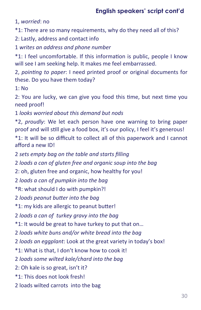#### **English speakers' script cont'd**

1, worried: no

\*1: There are so many requirements, why do they need all of this?

2: Lastly, address and contact info

1 *writes an address and phone number*

\*1: I feel uncomfortable. If this information is public, people I know will see I am seeking help. It makes me feel embarrassed.

2, *pointing to paper*: I need printed proof or original documents for these. Do you have them today?

1: No 

2: You are lucky, we can give you food this time, but next time you need proof! 

1 looks worried about this demand but nods

\*2, proudly: We let each person have one warning to bring paper proof and will still give a food box, it's our policy, I feel it's generous! \*1: It will be so difficult to collect all of this paperwork and I cannot afford a new ID!

2 *sets empty bag on the table and starts filling* 

2 *loads a can of gluten free and organic soup into the bag* 

2: oh, gluten free and organic, how healthy for you!

2 *loads a can of pumpkin into the bag* 

\*R: what should I do with pumpkin?! 

2 *loads peanut butter into the bag* 

\*1: my kids are allergic to peanut butter!

2 *loads a can of turkey gravy into the bag* 

\*1: It would be great to have turkey to put that on...

2 *loads* white buns and/or white bread into the bag

2 *loads an eggplant*: Look at the great variety in today's box!

\*1: What is that, I don't know how to cook it!

2 *loads some wilted kale/chard into the bag* 

2: Oh kale is so great, isn't it?

\*1: This does not look fresh!

2 loads wilted carrots into the bag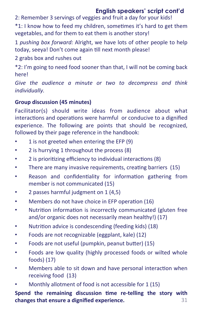#### **English speakers' script cont'd**

2: Remember 3 servings of veggies and fruit a day for your kids!

\*1: I know how to feed my children, sometimes it's hard to get them vegetables, and for them to eat them is another story!

1 *pushing box forward:* Alright, we have lots of other people to help today, seeya! Don't come again till next month please!

2 grabs box and rushes out

\*2: I'm going to need food sooner than that, I will not be coming back here! 

Give the audience a minute or two to decompress and think *individually.* 

#### Group discussion (45 minutes)

Facilitator(s) should write ideas from audience about what interactions and operations were harmful or conducive to a dignified experience. The following are points that should be recognized, followed by their page reference in the handbook:

- 1 is not greeted when entering the EFP (9)
- 2 is hurrying 1 throughout the process (8)
- 2 is prioritizing efficiency to individual interactions (8)
- There are many invasive requirements, creating barriers (15)
- Reason and confidentiality for information gathering from member is not communicated (15)
- 2 passes harmful judgment on 1 (4,5)
- Members do not have choice in EFP operation (16)
- Nutrition information is incorrectly communicated (gluten free and/or organic does not necessarily mean healthy!) (17)
- Nutrition advice is condescending (feeding kids) (18)
- Foods are not recognizable (eggplant, kale) (12)
- Foods are not useful (pumpkin, peanut butter) (15)
- Foods are low quality (highly processed foods or wilted whole foods) $(17)$
- Members able to sit down and have personal interaction when receiving food (13)
- Monthly allotment of food is not accessible for 1 (15)

Spend the remaining discussion time re-telling the story with **changes that ensure a dignified experience. 31**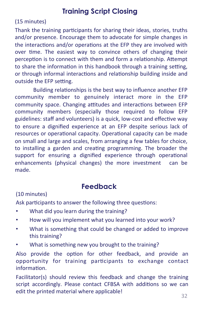#### **Training Script Closing**

#### (15 minutes)

Thank the training participants for sharing their ideas, stories, truths and/or presence. Encourage them to advocate for simple changes in the interactions and/or operations at the EFP they are involved with over time. The easiest way to convince others of changing their perception is to connect with them and form a relationship. Attempt to share the information in this handbook through a training setting, or through informal interactions and relationship building inside and outside the EFP setting.

Building relationships is the best way to influence another EFP community member to genuinely interact more in the EFP community space. Changing attitudes and interactions between EFP community members (especially those required to follow EFP guidelines: staff and volunteers) is a quick, low-cost and effective way to ensure a dignified experience at an EFP despite serious lack of resources or operational capacity. Operational capacity can be made on small and large and scales, from arranging a few tables for choice, to installing a garden and creating programming. The broader the support for ensuring a dignified experience through operational enhancements (physical changes) the more investment can be made. 

#### **Feedback**

#### (10 minutes)

Ask participants to answer the following three questions:

- What did you learn during the training?
- How will you implement what you learned into your work?
- What is something that could be changed or added to improve this training?
- What is something new you brought to the training?

Also provide the option for other feedback, and provide an opportunity for training participants to exchange contact information.

Facilitator(s) should review this feedback and change the training script accordingly. Please contact CFBSA with additions so we can edit the printed material where applicable!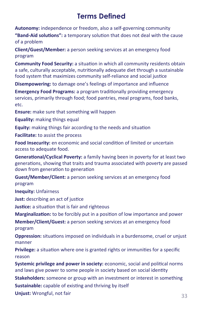#### **Terms Defined**

Autonomy: independence or freedom, also a self-governing community

**"Band-Aid solutions":** a temporary solution that does not deal with the cause of a problem

**Client/Guest/Member:** a person seeking services at an emergency food program 

**Community Food Security:** a situation in which all community residents obtain a safe, culturally acceptable, nutritionally adequate diet through a sustainable food system that maximizes community self-reliance and social justice

**Disempowering:** to damage one's feelings of importance and influence

**Emergency Food Programs:** a program traditionally providing emergency services, primarily through food; food pantries, meal programs, food banks, etc. 

**Ensure:** make sure that something will happen

**Equality:** making things equal

**Equity:** making things fair according to the needs and situation

**Facilitate:** to assist the process

**Food Insecurity:** en economic and social condition of limited or uncertain access to adequate food.

**Generational/Cyclical Poverty:** a family having been in poverty for at least two generations, showing that traits and trauma associated with poverty are passed down from generation to generation

**Guest/Member/Client:** a person seeking services at an emergency food program 

**Inequity: Unfairness** 

**Just:** describing an act of justice

**Justice:** a situation that is fair and righteous

**Marginalization:** to be forcibly put in a position of low importance and power

**Member/Client/Guest:** a person seeking services at an emergency food program 

**Oppression:** situations imposed on individuals in a burdensome, cruel or unjust manner 

**Privilege:** a situation where one is granted rights or immunities for a specific reason

**Systemic privilege and power in society:** economic, social and political norms and laws give power to some people in society based on social identity

**Stakeholders:** someone or group with an investment or interest in something **Sustainable:** capable of existing and thriving by itself

**Unjust:** Wrongful, not fair **33**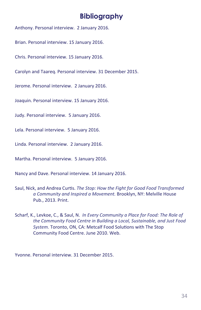#### **Bibliography**

Anthony. Personal interview. 2 January 2016.

Brian. Personal interview. 15 January 2016.

Chris. Personal interview. 15 January 2016.

Carolyn and Taareg. Personal interview. 31 December 2015.

Jerome. Personal interview. 2 January 2016.

Joaquin. Personal interview. 15 January 2016.

Judy. Personal interview. 5 January 2016.

Lela. Personal interview. 5 January 2016.

Linda. Personal interview. 2 January 2016.

Martha. Personal interview. 5 January 2016.

Nancy and Dave. Personal interview. 14 January 2016.

- Saul, Nick, and Andrea Curtis. The Stop: How the Fight for Good Food Transformed a Community and Inspired a Movement. Brooklyn, NY: Melville House Pub., 2013. Print.
- Scharf, K., Levkoe, C., & Saul, N. In Every Community a Place for Food: The Role of the Community Food Centre in Building a Local, Sustainable, and Just Food *System.* Toronto, ON, CA: Metcalf Food Solutions with The Stop Community Food Centre. June 2010. Web.

Yvonne. Personal interview. 31 December 2015.